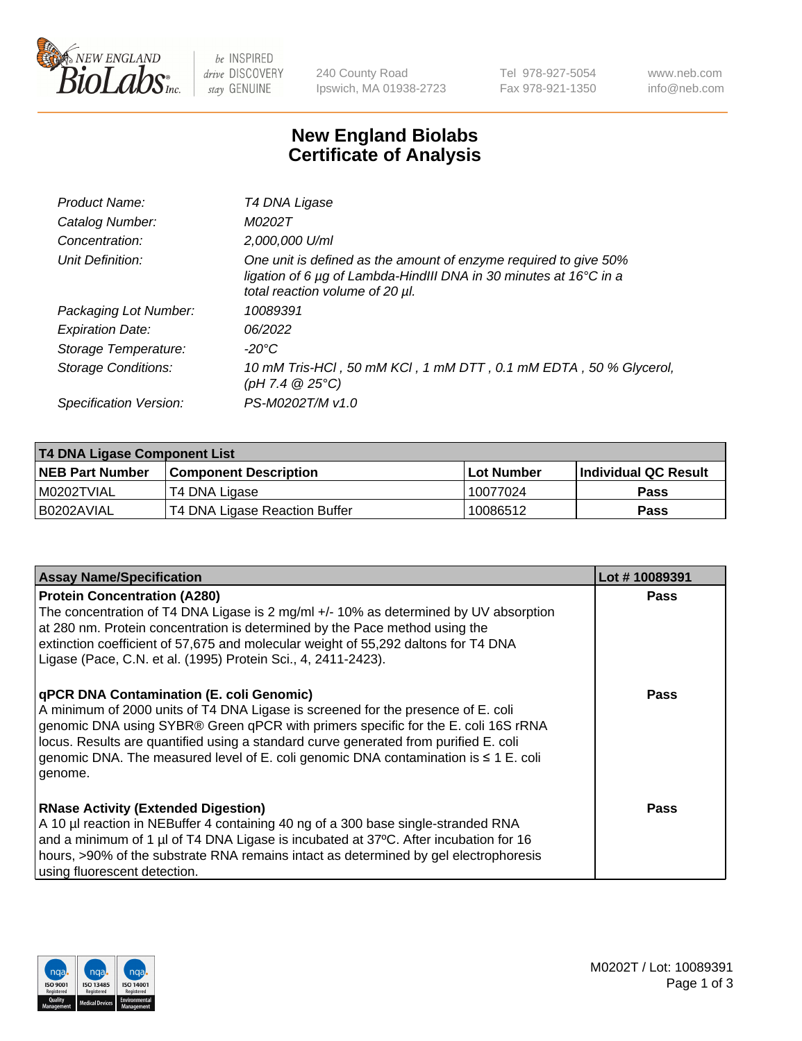

 $be$  INSPIRED drive DISCOVERY stay GENUINE

240 County Road Ipswich, MA 01938-2723 Tel 978-927-5054 Fax 978-921-1350 www.neb.com info@neb.com

## **New England Biolabs Certificate of Analysis**

| Product Name:           | T4 DNA Ligase                                                                                                                                                            |
|-------------------------|--------------------------------------------------------------------------------------------------------------------------------------------------------------------------|
| Catalog Number:         | M0202T                                                                                                                                                                   |
| Concentration:          | 2,000,000 U/ml                                                                                                                                                           |
| Unit Definition:        | One unit is defined as the amount of enzyme required to give 50%<br>ligation of 6 µg of Lambda-HindIII DNA in 30 minutes at 16°C in a<br>total reaction volume of 20 µl. |
| Packaging Lot Number:   | 10089391                                                                                                                                                                 |
| <b>Expiration Date:</b> | 06/2022                                                                                                                                                                  |
| Storage Temperature:    | $-20^{\circ}$ C                                                                                                                                                          |
| Storage Conditions:     | 10 mM Tris-HCl, 50 mM KCl, 1 mM DTT, 0.1 mM EDTA, 50 % Glycerol,<br>$(pH 7.4 \ @ 25^{\circ}C)$                                                                           |
| Specification Version:  | PS-M0202T/M v1.0                                                                                                                                                         |

| <b>T4 DNA Ligase Component List</b> |                               |            |                      |  |  |
|-------------------------------------|-------------------------------|------------|----------------------|--|--|
| <b>NEB Part Number</b>              | <b>Component Description</b>  | Lot Number | Individual QC Result |  |  |
| I M0202TVIAL                        | T4 DNA Ligase                 | 10077024   | <b>Pass</b>          |  |  |
| B0202AVIAL                          | T4 DNA Ligase Reaction Buffer | 10086512   | <b>Pass</b>          |  |  |

| <b>Assay Name/Specification</b>                                                                                                                                                                                                                                                                                                                                                                             | Lot #10089391 |
|-------------------------------------------------------------------------------------------------------------------------------------------------------------------------------------------------------------------------------------------------------------------------------------------------------------------------------------------------------------------------------------------------------------|---------------|
| <b>Protein Concentration (A280)</b><br>The concentration of T4 DNA Ligase is 2 mg/ml +/- 10% as determined by UV absorption<br>at 280 nm. Protein concentration is determined by the Pace method using the<br>extinction coefficient of 57,675 and molecular weight of 55,292 daltons for T4 DNA<br>Ligase (Pace, C.N. et al. (1995) Protein Sci., 4, 2411-2423).                                           | <b>Pass</b>   |
| qPCR DNA Contamination (E. coli Genomic)<br>A minimum of 2000 units of T4 DNA Ligase is screened for the presence of E. coli<br>genomic DNA using SYBR® Green qPCR with primers specific for the E. coli 16S rRNA<br>locus. Results are quantified using a standard curve generated from purified E. coli<br>genomic DNA. The measured level of E. coli genomic DNA contamination is ≤ 1 E. coli<br>genome. | <b>Pass</b>   |
| <b>RNase Activity (Extended Digestion)</b><br>A 10 µl reaction in NEBuffer 4 containing 40 ng of a 300 base single-stranded RNA<br>and a minimum of 1 µl of T4 DNA Ligase is incubated at 37°C. After incubation for 16<br>hours, >90% of the substrate RNA remains intact as determined by gel electrophoresis<br>using fluorescent detection.                                                             | <b>Pass</b>   |

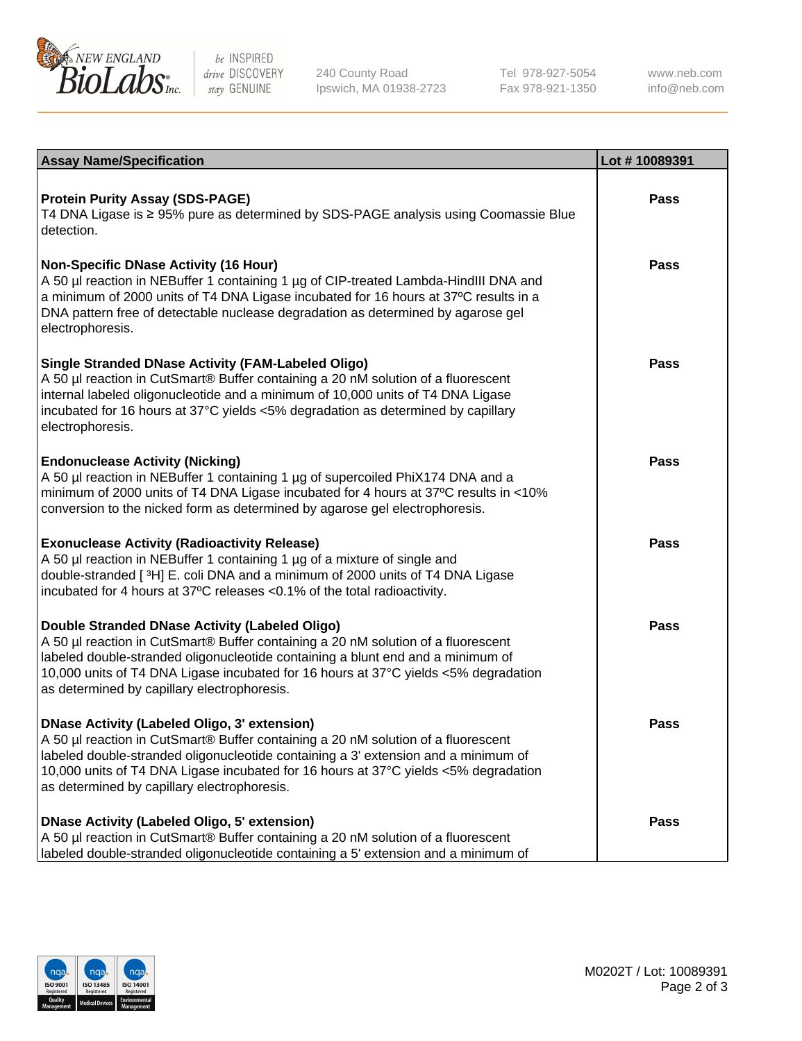

be INSPIRED drive DISCOVERY stay GENUINE

240 County Road Ipswich, MA 01938-2723 Tel 978-927-5054 Fax 978-921-1350

www.neb.com info@neb.com

| <b>Assay Name/Specification</b>                                                                                                                                                                                                                                                                                                                                      | Lot #10089391 |
|----------------------------------------------------------------------------------------------------------------------------------------------------------------------------------------------------------------------------------------------------------------------------------------------------------------------------------------------------------------------|---------------|
| <b>Protein Purity Assay (SDS-PAGE)</b><br>T4 DNA Ligase is ≥ 95% pure as determined by SDS-PAGE analysis using Coomassie Blue<br>detection.                                                                                                                                                                                                                          | Pass          |
| <b>Non-Specific DNase Activity (16 Hour)</b><br>A 50 µl reaction in NEBuffer 1 containing 1 µg of CIP-treated Lambda-HindIII DNA and<br>a minimum of 2000 units of T4 DNA Ligase incubated for 16 hours at 37°C results in a<br>DNA pattern free of detectable nuclease degradation as determined by agarose gel<br>electrophoresis.                                 | Pass          |
| <b>Single Stranded DNase Activity (FAM-Labeled Oligo)</b><br>A 50 µl reaction in CutSmart® Buffer containing a 20 nM solution of a fluorescent<br>internal labeled oligonucleotide and a minimum of 10,000 units of T4 DNA Ligase<br>incubated for 16 hours at 37°C yields <5% degradation as determined by capillary<br>electrophoresis.                            | <b>Pass</b>   |
| <b>Endonuclease Activity (Nicking)</b><br>A 50 µl reaction in NEBuffer 1 containing 1 µg of supercoiled PhiX174 DNA and a<br>minimum of 2000 units of T4 DNA Ligase incubated for 4 hours at 37°C results in <10%<br>conversion to the nicked form as determined by agarose gel electrophoresis.                                                                     | Pass          |
| <b>Exonuclease Activity (Radioactivity Release)</b><br>A 50 µl reaction in NEBuffer 1 containing 1 µg of a mixture of single and<br>double-stranded [3H] E. coli DNA and a minimum of 2000 units of T4 DNA Ligase<br>incubated for 4 hours at 37°C releases <0.1% of the total radioactivity.                                                                        | Pass          |
| Double Stranded DNase Activity (Labeled Oligo)<br>A 50 µl reaction in CutSmart® Buffer containing a 20 nM solution of a fluorescent<br>labeled double-stranded oligonucleotide containing a blunt end and a minimum of<br>10,000 units of T4 DNA Ligase incubated for 16 hours at 37°C yields <5% degradation<br>as determined by capillary electrophoresis.         | Pass          |
| <b>DNase Activity (Labeled Oligo, 3' extension)</b><br>A 50 µl reaction in CutSmart® Buffer containing a 20 nM solution of a fluorescent<br>labeled double-stranded oligonucleotide containing a 3' extension and a minimum of<br>10,000 units of T4 DNA Ligase incubated for 16 hours at 37°C yields <5% degradation<br>as determined by capillary electrophoresis. | Pass          |
| <b>DNase Activity (Labeled Oligo, 5' extension)</b><br>A 50 µl reaction in CutSmart® Buffer containing a 20 nM solution of a fluorescent<br>labeled double-stranded oligonucleotide containing a 5' extension and a minimum of                                                                                                                                       | Pass          |